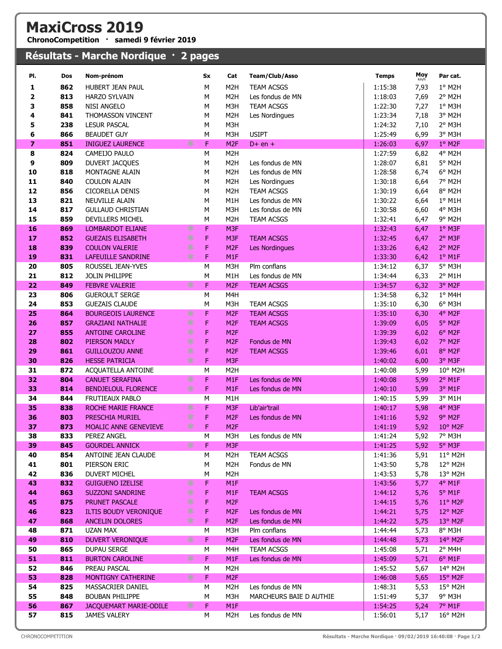| <b>MaxiCross 2019</b><br>ChronoCompetition · samedi 9 février 2019 |            |                                                 |        |           |                                    |                                             |                    |              |                                 |  |  |
|--------------------------------------------------------------------|------------|-------------------------------------------------|--------|-----------|------------------------------------|---------------------------------------------|--------------------|--------------|---------------------------------|--|--|
|                                                                    |            | Résultats - Marche Nordique · 2 pages           |        |           |                                    |                                             |                    |              |                                 |  |  |
| PI.                                                                | Dos        | Nom-prénom                                      |        | <b>Sx</b> | Cat                                | <b>Team/Club/Asso</b>                       | <b>Temps</b>       | Moy          | Par cat.                        |  |  |
| 1                                                                  | 862        | HUBERT JEAN PAUL                                |        | M         | M <sub>2</sub> H                   | <b>TEAM ACSGS</b>                           | 1:15:38            | km/h<br>7,93 | 1° M2H                          |  |  |
| 2                                                                  | 813        | <b>HARZO SYLVAIN</b>                            |        | M         | M <sub>2</sub> H                   | Les fondus de MN                            | 1:18:03            | 7,69         | 2° M2H                          |  |  |
| 3                                                                  | 858        | <b>NISI ANGELO</b>                              |        | M         | M3H                                | <b>TEAM ACSGS</b>                           | 1:22:30            | 7,27         | $1°$ M3H                        |  |  |
| 4                                                                  | 841        | THOMASSON VINCENT                               |        | M         | M <sub>2</sub> H                   | Les Nordingues                              | 1:23:34            | 7,18         | 3° M2H                          |  |  |
| 5                                                                  | 238        | <b>LESUR PASCAL</b>                             |        | M         | M3H                                |                                             | 1:24:32            | 7,10         | 2° M3H                          |  |  |
| 6                                                                  | 866        | <b>BEAUDET GUY</b>                              |        | M         | M3H                                | <b>USIPT</b>                                | 1:25:49            | 6,99         | 3° M3H                          |  |  |
| 7                                                                  | 851        | <b>INIGUEZ LAURENCE</b>                         | ∗      | F         | M <sub>2F</sub>                    | $D+$ en +                                   | 1:26:03            | 6,97         | 1° M2F                          |  |  |
| 8                                                                  | 824        | CAMEIJO PAULO                                   |        | M         | M <sub>2</sub> H                   |                                             | 1:27:59            | 6,82         | 4° M2H                          |  |  |
| 9                                                                  | 809        | <b>DUVERT JACQUES</b>                           |        | M         | M <sub>2</sub> H                   | Les fondus de MN                            | 1:28:07            | 6,81         | 5° M2H                          |  |  |
| 10                                                                 | 818        | MONTAGNE ALAIN                                  |        | M         | M <sub>2</sub> H                   | Les fondus de MN                            | 1:28:58            | 6,74         | 6° M2H                          |  |  |
| 11                                                                 | 840        | <b>COULON ALAIN</b>                             |        | M         | M <sub>2</sub> H                   | Les Nordingues                              | 1:30:18            | 6,64         | 7° M2H                          |  |  |
| 12<br>13                                                           | 856<br>821 | <b>CICORELLA DENIS</b><br><b>NEUVILLE ALAIN</b> |        | M<br>M    | M <sub>2</sub> H<br>M1H            | <b>TEAM ACSGS</b><br>Les fondus de MN       | 1:30:19<br>1:30:22 | 6,64<br>6,64 | 8° M2H                          |  |  |
| 14                                                                 | 817        | <b>GULLAUD CHRISTIAN</b>                        |        | M         | M3H                                | Les fondus de MN                            | 1:30:58            | 6,60         | $1^\circ$ M1H<br>4° M3H         |  |  |
| 15                                                                 | 859        | DEVILLERS MICHEL                                |        | M         | M <sub>2</sub> H                   | <b>TEAM ACSGS</b>                           | 1:32:41            | 6,47         | 9° M2H                          |  |  |
| 16                                                                 | 869        | <b>LOMBARDOT ELIANE</b>                         | ∗      | F         | M <sub>3F</sub>                    |                                             | 1:32:43            | 6,47         | 1° M3F                          |  |  |
| 17                                                                 | 852        | <b>GUEZAIS ELISABETH</b>                        | $*$    | F         | M3F                                | <b>TEAM ACSGS</b>                           | 1:32:45            | 6,47         | 2° M3F                          |  |  |
| 18                                                                 | 839        | <b>COULON VALERIE</b>                           | $\ast$ | F         | M <sub>2F</sub>                    | Les Nordingues                              | 1:33:26            | 6,42         | 2° M2F                          |  |  |
| 19                                                                 | 831        | <b>LAFEUILLE SANDRINE</b>                       | $\ast$ | F         | M1F                                |                                             | 1:33:30            | 6,42         | $1°$ M1F                        |  |  |
| 20                                                                 | 805        | ROUSSEL JEAN-YVES                               |        | M         | M3H                                | Plm conflans                                | 1:34:12            | 6,37         | 5° M3H                          |  |  |
| 21                                                                 | 812        | JOLIN PHILIPPE                                  |        | M         | M1H                                | Les fondus de MN                            | 1:34:44            | 6,33         | 2° M1H                          |  |  |
| 22                                                                 | 849        | <b>FEBVRE VALERIE</b>                           | ∗      | F         | M <sub>2F</sub>                    | <b>TEAM ACSGS</b>                           | 1:34:57            | 6,32         | 3° M2F                          |  |  |
| 23                                                                 | 806        | <b>GUEROULT SERGE</b>                           |        | M         | M4H                                |                                             | 1:34:58            | 6,32         | $1°$ M4H                        |  |  |
| 24                                                                 | 853        | <b>GUEZAIS CLAUDE</b>                           |        | M         | M3H                                | <b>TEAM ACSGS</b>                           | 1:35:10            | 6,30         | 6° M3H                          |  |  |
| 25                                                                 | 864        | <b>BOURGEOIS LAURENCE</b>                       | ∗      | F         | M <sub>2F</sub>                    | <b>TEAM ACSGS</b>                           | 1:35:10            | 6,30         | 4° M2F                          |  |  |
| 26                                                                 | 857        | <b>GRAZIANI NATHALIE</b>                        | $*$    | F         | M <sub>2F</sub>                    | <b>TEAM ACSGS</b>                           | 1:39:09            | 6,05         | 5° M2F                          |  |  |
| 27                                                                 | 855        | <b>ANTOINE CAROLINE</b>                         | $\ast$ | F         | M <sub>2F</sub>                    |                                             | 1:39:39            | 6,02         | $6^{\circ}$ M2F                 |  |  |
| 28                                                                 | 802        | PIERSON MADLY                                   | $\ast$ | F         | M <sub>2F</sub>                    | Fondus de MN                                | 1:39:43            | 6,02         | 7° M2F                          |  |  |
| 29                                                                 | 861        | <b>GUILLOUZOU ANNE</b>                          | $\ast$ | F         | M <sub>2F</sub>                    | <b>TEAM ACSGS</b>                           | 1:39:46            | 6,01         | 8° M2F                          |  |  |
| 30                                                                 | 826        | <b>HESSE PATRICIA</b>                           | $\ast$ | F         | M <sub>3F</sub>                    |                                             | 1:40:02            | 6,00         | 3° M3F                          |  |  |
| 31                                                                 | 872        | ACQUATELLA ANTOINE                              |        | M         | M <sub>2</sub> H                   |                                             | 1:40:08            | 5,99         | 10° M2H                         |  |  |
| 32                                                                 | 804        | <b>CANUET SERAFINA</b>                          | *      | F         | M1F                                | Les fondus de MN                            | 1:40:08            | 5,99         | $2°$ M1F                        |  |  |
| 33                                                                 | 814        | <b>BENDJELOUL FLORENCE</b>                      | ⋇      | F         | M1F                                | Les fondus de MN                            | 1:40:10            | 5,99         | $3°$ M1F                        |  |  |
| 34                                                                 | 844        | FRUTIEAUX PABLO                                 |        | M         | M1H                                |                                             | 1:40:15            | 5,99         | 3° M1H                          |  |  |
| 35<br>36                                                           | 838<br>803 | ROCHE MARIE FRANCE<br>PRESCHIA MURIEL           | ∗<br>∗ | F<br>F    | M <sub>3F</sub><br>M <sub>2F</sub> | Lib'air'trail<br>Les fondus de MN           | 1:40:17<br>1:41:16 | 5,98<br>5,92 | 4° M3F<br>$9°$ M <sub>2</sub> F |  |  |
| 37                                                                 | 873        | <b>MOALIC ANNE GENEVIEVE</b>                    | ∗      | F         | M <sub>2F</sub>                    |                                             | 1:41:19            | 5,92         | 10° M2F                         |  |  |
| 38                                                                 | 833        | PEREZ ANGEL                                     |        | M         | M3H                                | Les fondus de MN                            | 1:41:24            | 5,92         | 7° M3H                          |  |  |
| 39                                                                 | 845        | <b>GOURDEL ANNICK</b>                           | ∗      | F         | M3F                                |                                             | 1:41:25            | 5,92         | $5^\circ$ M3F                   |  |  |
| 40                                                                 | 854        | ANTOINE JEAN CLAUDE                             |        | M         | M <sub>2</sub> H                   | <b>TEAM ACSGS</b>                           | 1:41:36            | 5,91         | 11° M2H                         |  |  |
| 41                                                                 | 801        | PIERSON ERIC                                    |        | М         | M <sub>2</sub> H                   | Fondus de MN                                | 1:43:50            | 5,78         | 12° M2H                         |  |  |
| 42                                                                 | 836        | <b>DUVERT MICHEL</b>                            |        | M         | M <sub>2</sub> H                   |                                             | 1:43:53            | 5,78         | 13° M2H                         |  |  |
| 43                                                                 | 832        | <b>GUIGUENO IZELISE</b>                         | ∗      | F         | M1F                                |                                             | 1:43:56            | 5,77         | 4° M1F                          |  |  |
| 44                                                                 | 863        | <b>SUZZONI SANDRINE</b>                         | ∗      | F         | M <sub>1</sub> F                   | <b>TEAM ACSGS</b>                           | 1:44:12            | 5,76         | $5^\circ$ M1F                   |  |  |
| 45                                                                 | 875        | PRUNET PASCALE                                  | ∗      | F         | M <sub>2F</sub>                    |                                             | 1:44:15            | 5,76         | $11^{\circ}$ M2F                |  |  |
| 46                                                                 | 823        | ILTIS BOUDY VERONIQUE                           | ∗      | F         | M <sub>2F</sub>                    | Les fondus de MN                            | 1:44:21            | 5,75         | $12^{\circ}$ M2F                |  |  |
| 47                                                                 | 868        | ANCELIN DOLORES                                 | ∗      | F         | M <sub>2F</sub>                    | Les fondus de MN                            | 1:44:22            | 5,75         | $13^{\circ}$ M2F                |  |  |
| 48                                                                 | 871        | UZAN MAX                                        |        | M         | M3H                                | Plm conflans                                | 1:44:44            | 5,73         | 8° M3H                          |  |  |
| 49                                                                 | 810        | <b>DUVERT VERONIQUE</b>                         | ∗      | F         | M <sub>2F</sub>                    | Les fondus de MN                            | 1:44:48            | 5,73         | 14° M2F                         |  |  |
| 50                                                                 | 865        | DUPAU SERGE                                     |        | M         | M4H                                | <b>TEAM ACSGS</b>                           | 1:45:08            | 5,71         | $2°$ M4H                        |  |  |
| 51                                                                 | 811        | <b>BURTON CAROLINE</b>                          | ∗      | F         | M <sub>1</sub> F                   | Les fondus de MN                            | 1:45:09            | 5,71         | $6^{\circ}$ M1F                 |  |  |
| 52                                                                 | 846        | PREAU PASCAL                                    |        | M         | M <sub>2</sub> H                   |                                             | 1:45:52            | 5,67         | 14° M2H                         |  |  |
| 53                                                                 | 828        | MONTIGNY CATHERINE                              | ∗      | F         | M <sub>2F</sub>                    |                                             | 1:46:08            | 5,65         | $15^{\circ}$ M2F                |  |  |
| 54<br>55                                                           | 825<br>848 | MASSACRIER DANIEL<br><b>BOUBAN PHILIPPE</b>     |        | M<br>М    | M <sub>2</sub> H<br>M3H            | Les fondus de MN<br>MARCHEURS BAIE D AUTHIE | 1:48:31<br>1:51:49 | 5,53<br>5,37 | 15° M2H<br>9° M3H               |  |  |
| 56                                                                 | 867        | JACQUEMART MARIE-ODILE                          | ∗      | F         | M <sub>1</sub> F                   |                                             | 1:54:25            | 5,24         | 7° M1F                          |  |  |
| 57                                                                 | 815        | JAMES VALERY                                    |        | М         | M2H                                | Les fondus de MN                            | 1:56:01            | 5,17         | 16° M2H                         |  |  |